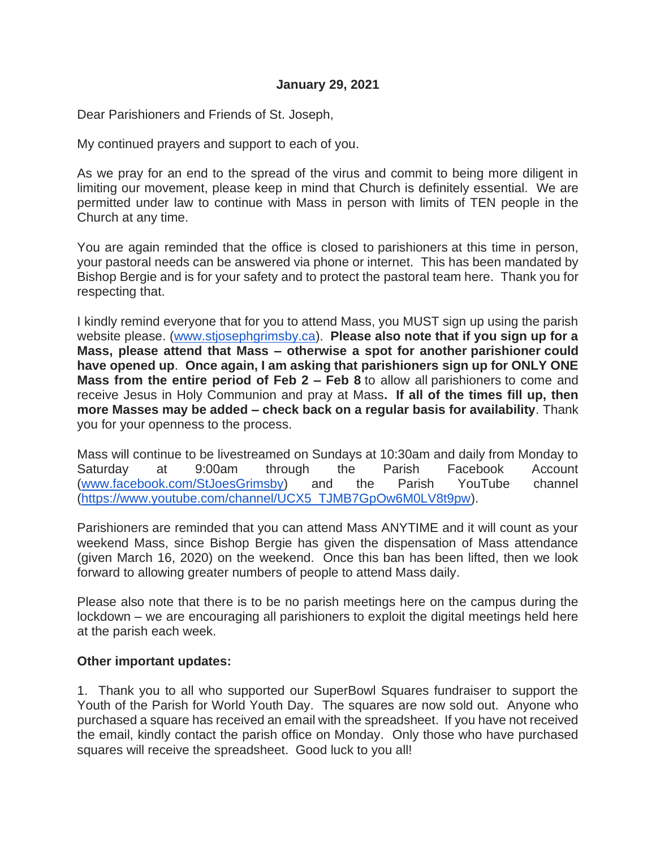## **January 29, 2021**

Dear Parishioners and Friends of St. Joseph,

My continued prayers and support to each of you.

As we pray for an end to the spread of the virus and commit to being more diligent in limiting our movement, please keep in mind that Church is definitely essential. We are permitted under law to continue with Mass in person with limits of TEN people in the Church at any time.

You are again reminded that the office is closed to parishioners at this time in person, your pastoral needs can be answered via phone or internet. This has been mandated by Bishop Bergie and is for your safety and to protect the pastoral team here. Thank you for respecting that.

I kindly remind everyone that for you to attend Mass, you MUST sign up using the parish website please. [\(www.stjosephgrimsby.ca\)](http://www.stjosephgrimsby.ca/). **Please also note that if you sign up for a Mass, please attend that Mass – otherwise a spot for another parishioner could have opened up**. **Once again, I am asking that parishioners sign up for ONLY ONE Mass from the entire period of Feb 2 – Feb 8** to allow all parishioners to come and receive Jesus in Holy Communion and pray at Mass**. If all of the times fill up, then more Masses may be added – check back on a regular basis for availability**. Thank you for your openness to the process.

Mass will continue to be livestreamed on Sundays at 10:30am and daily from Monday to Saturday at 9:00am through the Parish Facebook Account [\(www.facebook.com/StJoesGrimsby\)](http://www.facebook.com/StJoesGrimsby) and the Parish YouTube channel [\(https://www.youtube.com/channel/UCX5\\_TJMB7GpOw6M0LV8t9pw\)](https://www.youtube.com/channel/UCX5_TJMB7GpOw6M0LV8t9pw).

Parishioners are reminded that you can attend Mass ANYTIME and it will count as your weekend Mass, since Bishop Bergie has given the dispensation of Mass attendance (given March 16, 2020) on the weekend. Once this ban has been lifted, then we look forward to allowing greater numbers of people to attend Mass daily.

Please also note that there is to be no parish meetings here on the campus during the lockdown – we are encouraging all parishioners to exploit the digital meetings held here at the parish each week.

## **Other important updates:**

1. Thank you to all who supported our SuperBowl Squares fundraiser to support the Youth of the Parish for World Youth Day. The squares are now sold out. Anyone who purchased a square has received an email with the spreadsheet. If you have not received the email, kindly contact the parish office on Monday. Only those who have purchased squares will receive the spreadsheet. Good luck to you all!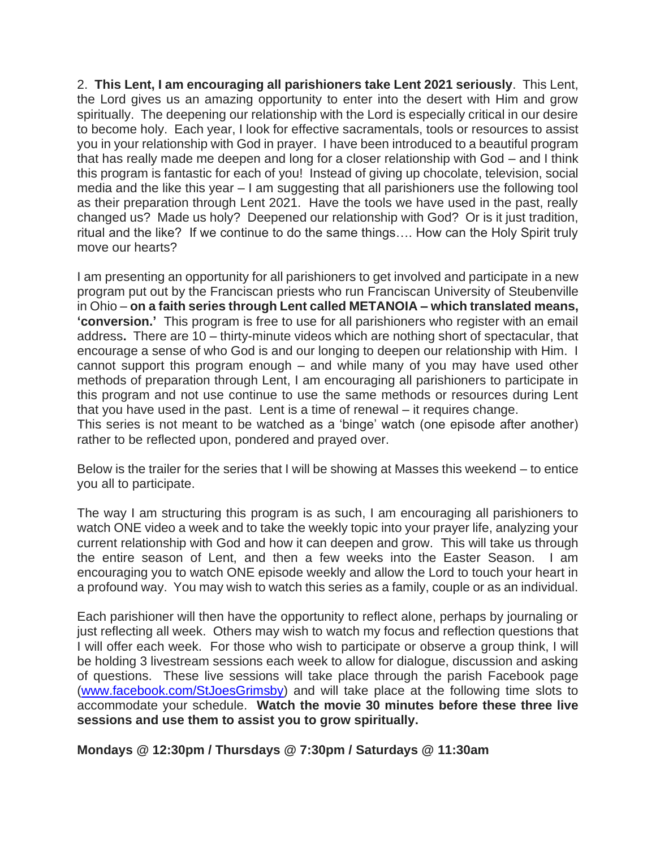2. **This Lent, I am encouraging all parishioners take Lent 2021 seriously**. This Lent, the Lord gives us an amazing opportunity to enter into the desert with Him and grow spiritually. The deepening our relationship with the Lord is especially critical in our desire to become holy. Each year, I look for effective sacramentals, tools or resources to assist you in your relationship with God in prayer. I have been introduced to a beautiful program that has really made me deepen and long for a closer relationship with God – and I think this program is fantastic for each of you! Instead of giving up chocolate, television, social media and the like this year – I am suggesting that all parishioners use the following tool as their preparation through Lent 2021. Have the tools we have used in the past, really changed us? Made us holy? Deepened our relationship with God? Or is it just tradition, ritual and the like? If we continue to do the same things…. How can the Holy Spirit truly move our hearts?

I am presenting an opportunity for all parishioners to get involved and participate in a new program put out by the Franciscan priests who run Franciscan University of Steubenville in Ohio – **on a faith series through Lent called METANOIA – which translated means, 'conversion.'** This program is free to use for all parishioners who register with an email address**.** There are 10 – thirty-minute videos which are nothing short of spectacular, that encourage a sense of who God is and our longing to deepen our relationship with Him. I cannot support this program enough – and while many of you may have used other methods of preparation through Lent, I am encouraging all parishioners to participate in this program and not use continue to use the same methods or resources during Lent that you have used in the past. Lent is a time of renewal – it requires change.

This series is not meant to be watched as a 'binge' watch (one episode after another) rather to be reflected upon, pondered and prayed over.

Below is the trailer for the series that I will be showing at Masses this weekend – to entice you all to participate.

The way I am structuring this program is as such, I am encouraging all parishioners to watch ONE video a week and to take the weekly topic into your prayer life, analyzing your current relationship with God and how it can deepen and grow. This will take us through the entire season of Lent, and then a few weeks into the Easter Season. I am encouraging you to watch ONE episode weekly and allow the Lord to touch your heart in a profound way. You may wish to watch this series as a family, couple or as an individual.

Each parishioner will then have the opportunity to reflect alone, perhaps by journaling or just reflecting all week. Others may wish to watch my focus and reflection questions that I will offer each week. For those who wish to participate or observe a group think, I will be holding 3 livestream sessions each week to allow for dialogue, discussion and asking of questions. These live sessions will take place through the parish Facebook page [\(www.facebook.com/StJoesGrimsby\)](http://www.facebook.com/StJoesGrimsby) and will take place at the following time slots to accommodate your schedule. **Watch the movie 30 minutes before these three live sessions and use them to assist you to grow spiritually.** 

**Mondays @ 12:30pm / Thursdays @ 7:30pm / Saturdays @ 11:30am**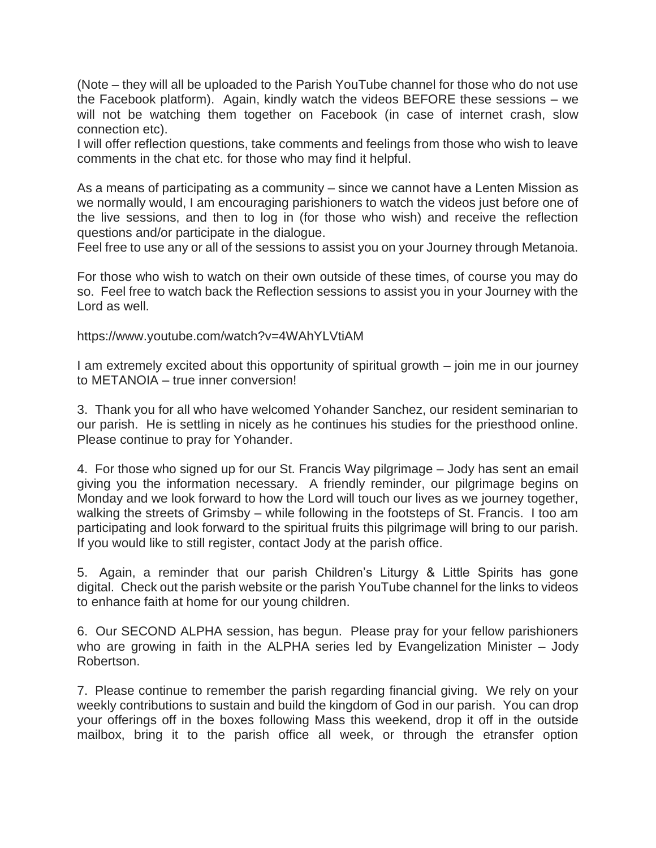(Note – they will all be uploaded to the Parish YouTube channel for those who do not use the Facebook platform). Again, kindly watch the videos BEFORE these sessions – we will not be watching them together on Facebook (in case of internet crash, slow connection etc).

I will offer reflection questions, take comments and feelings from those who wish to leave comments in the chat etc. for those who may find it helpful.

As a means of participating as a community – since we cannot have a Lenten Mission as we normally would, I am encouraging parishioners to watch the videos just before one of the live sessions, and then to log in (for those who wish) and receive the reflection questions and/or participate in the dialogue.

Feel free to use any or all of the sessions to assist you on your Journey through Metanoia.

For those who wish to watch on their own outside of these times, of course you may do so. Feel free to watch back the Reflection sessions to assist you in your Journey with the Lord as well.

https://www.youtube.com/watch?v=4WAhYLVtiAM

I am extremely excited about this opportunity of spiritual growth – join me in our journey to METANOIA – true inner conversion!

3. Thank you for all who have welcomed Yohander Sanchez, our resident seminarian to our parish. He is settling in nicely as he continues his studies for the priesthood online. Please continue to pray for Yohander.

4. For those who signed up for our St. Francis Way pilgrimage – Jody has sent an email giving you the information necessary. A friendly reminder, our pilgrimage begins on Monday and we look forward to how the Lord will touch our lives as we journey together, walking the streets of Grimsby – while following in the footsteps of St. Francis. I too am participating and look forward to the spiritual fruits this pilgrimage will bring to our parish. If you would like to still register, contact Jody at the parish office.

5. Again, a reminder that our parish Children's Liturgy & Little Spirits has gone digital. Check out the parish website or the parish YouTube channel for the links to videos to enhance faith at home for our young children.

6. Our SECOND ALPHA session, has begun. Please pray for your fellow parishioners who are growing in faith in the ALPHA series led by Evangelization Minister – Jody Robertson.

7. Please continue to remember the parish regarding financial giving. We rely on your weekly contributions to sustain and build the kingdom of God in our parish. You can drop your offerings off in the boxes following Mass this weekend, drop it off in the outside mailbox, bring it to the parish office all week, or through the etransfer option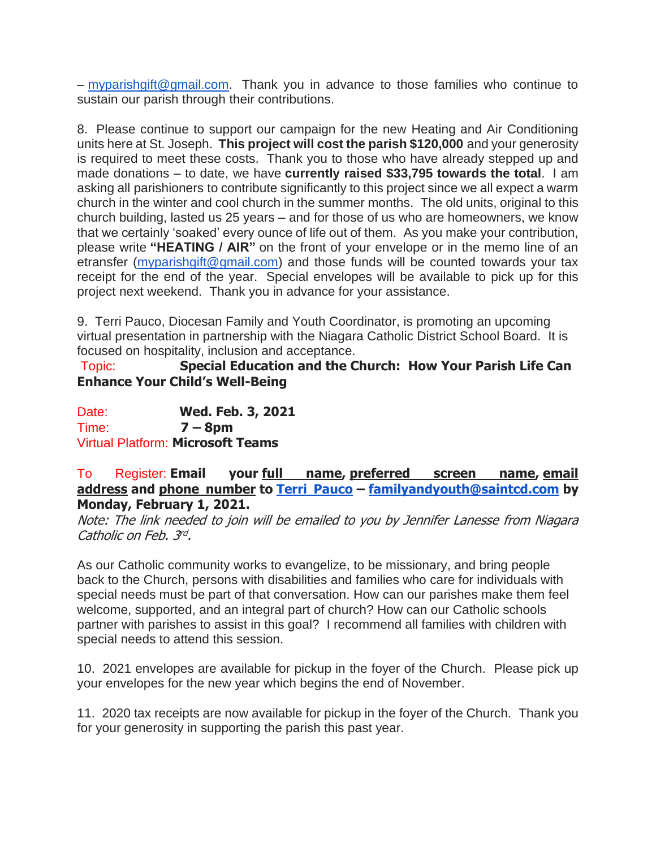– [myparishgift@gmail.com.](mailto:myparishgift@gmail.com) Thank you in advance to those families who continue to sustain our parish through their contributions.

8. Please continue to support our campaign for the new Heating and Air Conditioning units here at St. Joseph. **This project will cost the parish \$120,000** and your generosity is required to meet these costs. Thank you to those who have already stepped up and made donations – to date, we have **currently raised \$33,795 towards the total**. I am asking all parishioners to contribute significantly to this project since we all expect a warm church in the winter and cool church in the summer months. The old units, original to this church building, lasted us 25 years – and for those of us who are homeowners, we know that we certainly 'soaked' every ounce of life out of them. As you make your contribution, please write **"HEATING / AIR"** on the front of your envelope or in the memo line of an etransfer [\(myparishgift@gmail.com\)](mailto:myparishgift@gmail.com) and those funds will be counted towards your tax receipt for the end of the year. Special envelopes will be available to pick up for this project next weekend. Thank you in advance for your assistance.

9. Terri Pauco, Diocesan Family and Youth Coordinator, is promoting an upcoming virtual presentation in partnership with the Niagara Catholic District School Board. It is focused on hospitality, inclusion and acceptance.

Topic: **Special Education and the Church: How Your Parish Life Can Enhance Your Child's Well-Being**

Date: **Wed. Feb. 3, 2021** Time: **7 – 8pm** Virtual Platform: **Microsoft Teams**

## To Register: **Email your full name, preferred screen name, email address and phone number to [Terri Pauco](mailto:familyandyouth@saintcd.com) – [familyandyouth@saintcd.com](mailto:familyandyouth@saintcd.com) by Monday, February 1, 2021.**

Note: The link needed to join will be emailed to you by Jennifer Lanesse from Niagara Catholic on Feb. 3rd.

As our Catholic community works to evangelize, to be missionary, and bring people back to the Church, persons with disabilities and families who care for individuals with special needs must be part of that conversation. How can our parishes make them feel welcome, supported, and an integral part of church? How can our Catholic schools partner with parishes to assist in this goal? I recommend all families with children with special needs to attend this session.

10. 2021 envelopes are available for pickup in the foyer of the Church. Please pick up your envelopes for the new year which begins the end of November.

11. 2020 tax receipts are now available for pickup in the foyer of the Church. Thank you for your generosity in supporting the parish this past year.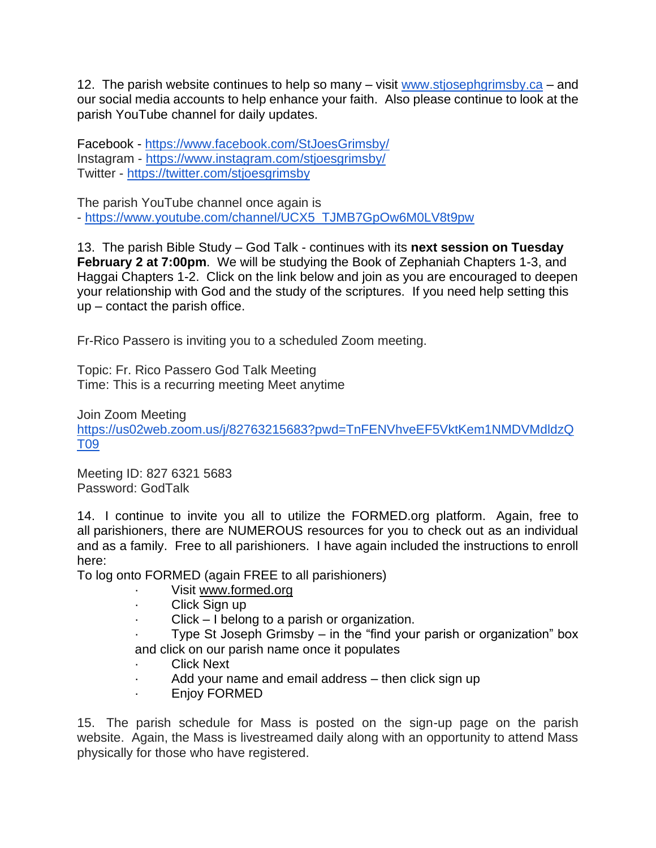12. The parish website continues to help so many  $-$  visit [www.stjosephgrimsby.ca](http://www.stjosephgrimsby.ca/)  $-$  and our social media accounts to help enhance your faith. Also please continue to look at the parish YouTube channel for daily updates.

Facebook - <https://www.facebook.com/StJoesGrimsby/> Instagram - <https://www.instagram.com/stjoesgrimsby/> Twitter - <https://twitter.com/stjoesgrimsby>

The parish YouTube channel once again is

- [https://www.youtube.com/channel/UCX5\\_TJMB7GpOw6M0LV8t9pw](https://www.youtube.com/channel/UCX5_TJMB7GpOw6M0LV8t9pw)

13. The parish Bible Study – God Talk - continues with its **next session on Tuesday February 2 at 7:00pm**. We will be studying the Book of Zephaniah Chapters 1-3, and Haggai Chapters 1-2. Click on the link below and join as you are encouraged to deepen your relationship with God and the study of the scriptures. If you need help setting this up – contact the parish office.

Fr-Rico Passero is inviting you to a scheduled Zoom meeting.

Topic: Fr. Rico Passero God Talk Meeting Time: This is a recurring meeting Meet anytime

Join Zoom Meeting [https://us02web.zoom.us/j/82763215683?pwd=TnFENVhveEF5VktKem1NMDVMdldzQ](https://us02web.zoom.us/j/82763215683?pwd=TnFENVhveEF5VktKem1NMDVMdldzQT09) [T09](https://us02web.zoom.us/j/82763215683?pwd=TnFENVhveEF5VktKem1NMDVMdldzQT09)

Meeting ID: 827 6321 5683 Password: GodTalk

14. I continue to invite you all to utilize the FORMED.org platform. Again, free to all parishioners, there are NUMEROUS resources for you to check out as an individual and as a family. Free to all parishioners. I have again included the instructions to enroll here:

To log onto FORMED (again FREE to all parishioners)

- · Visit [www.formed.org](http://www.formed.org/)
- Click Sign up
- $Click I belong to a parish or organization.$

Type St Joseph Grimsby  $-$  in the "find your parish or organization" box and click on our parish name once it populates

- **Click Next**
- Add your name and email address then click sign up
- · Enjoy FORMED

15. The parish schedule for Mass is posted on the sign-up page on the parish website. Again, the Mass is livestreamed daily along with an opportunity to attend Mass physically for those who have registered.